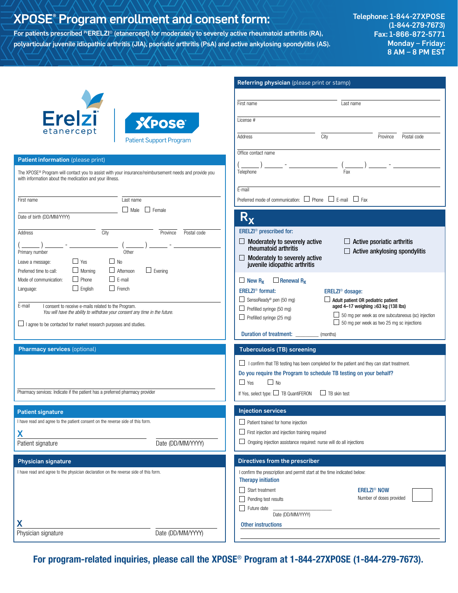# XPOSE® Program enrollment and consent form:

For patients prescribed <sup>Pr</sup>ERELZI<sup>®</sup> (etanercept) for moderately to severely active rheumatoid arthritis (RA), polyarticular juvenile idiopathic arthritis (JIA), psoriatic arthritis (PsA) and active ankylosing spondylitis (AS). Telephone: 1-844-27XPOSE (1-844-279-7673) Fax: 1-866-872-5771 Monday – Friday: 8 AM – 8 PM EST

|                                                                                                                                                                              | <b>Referring physician</b> (please print or stamp)                                                                                           |
|------------------------------------------------------------------------------------------------------------------------------------------------------------------------------|----------------------------------------------------------------------------------------------------------------------------------------------|
|                                                                                                                                                                              |                                                                                                                                              |
|                                                                                                                                                                              | First name<br>Last name                                                                                                                      |
| <b>Erelzi</b><br><b>XPOSE</b>                                                                                                                                                | License #                                                                                                                                    |
| etanercept                                                                                                                                                                   |                                                                                                                                              |
| <b>Patient Support Program</b>                                                                                                                                               | City<br>Province<br>Postal code<br>Address                                                                                                   |
| Patient information (please print)                                                                                                                                           | Office contact name                                                                                                                          |
|                                                                                                                                                                              |                                                                                                                                              |
| The XPOSE <sup>®</sup> Program will contact you to assist with your insurance/reimbursement needs and provide you<br>with information about the medication and your illness. | Telephone<br>Fax                                                                                                                             |
|                                                                                                                                                                              | E-mail                                                                                                                                       |
| Last name<br>First name                                                                                                                                                      | Preferred mode of communication: $\Box$ Phone $\Box$ E-mail $\Box$ Fax                                                                       |
| $\Box$ Male $\Box$ Female<br>Date of birth (DD/MM/YYYY)                                                                                                                      | $R_{\mathbf{X}}$                                                                                                                             |
| City<br>Address<br>Province<br>Postal code                                                                                                                                   | ERELZI <sup>®</sup> prescribed for:                                                                                                          |
|                                                                                                                                                                              | $\Box$ Active psoriatic arthritis<br>$\Box$ Moderately to severely active                                                                    |
| Other<br>Primary number                                                                                                                                                      | rheumatoid arthritis<br>$\Box$ Active ankylosing spondylitis                                                                                 |
| $\Box$ No<br>$\Box$ Yes<br>Leave a message:                                                                                                                                  | $\Box$ Moderately to severely active<br>juvenile idiopathic arthritis                                                                        |
| $\Box$ Morning<br>$\Box$ Afternoon<br>$\Box$ Evening<br>Preferred time to call:                                                                                              |                                                                                                                                              |
| $\Box$ E-mail<br>$\Box$ Phone<br>Mode of communication:                                                                                                                      | $\Box$ Renewal R <sub>x</sub><br>$\Box$ New R <sub>x</sub>                                                                                   |
| $\Box$ French<br>$\Box$ English<br>Language:                                                                                                                                 | <b>ERELZI<sup>®</sup></b> format:<br>ERELZI <sup>®</sup> dosage:                                                                             |
|                                                                                                                                                                              | SensoReady® pen (50 mg)<br>$\Box$ Adult patient OR pediatric patient                                                                         |
| E-mail<br>I consent to receive e-mails related to the Program.<br>You will have the ability to withdraw your consent any time in the future.                                 | aged 4-17 weighing $\geq 63$ kg (138 lbs)<br>Prefilled syringe $(50 \text{ mg})$                                                             |
| □ lagree to be contacted for market research purposes and studies.                                                                                                           | $\Box$ 50 mg per week as one subcutaneous (sc) injection<br>Prefilled syringe $(25 \text{ mg})$<br>50 mg per week as two 25 mg sc injections |
|                                                                                                                                                                              | Duration of treatment:<br>(months)                                                                                                           |
|                                                                                                                                                                              |                                                                                                                                              |
| <b>Pharmacy services (optional)</b>                                                                                                                                          | <b>Tuberculosis (TB) screening</b>                                                                                                           |
|                                                                                                                                                                              | $\Box$ I confirm that TB testing has been completed for the patient and they can start treatment.                                            |
|                                                                                                                                                                              | Do you require the Program to schedule TB testing on your behalf?                                                                            |
|                                                                                                                                                                              | $\Box$ Yes<br>$\Box$ No                                                                                                                      |
| Pharmacy services: Indicate if the patient has a preferred pharmacy provider                                                                                                 | If Yes, select type: TB QuantiFERON<br>$\Box$ TB skin test                                                                                   |
|                                                                                                                                                                              |                                                                                                                                              |
| <b>Patient signature</b>                                                                                                                                                     | <b>Injection services</b>                                                                                                                    |
| I have read and agree to the patient consent on the reverse side of this form.                                                                                               | $\Box$ Patient trained for home injection                                                                                                    |
| X                                                                                                                                                                            | $\Box$ First injection and injection training required                                                                                       |
| Date (DD/MM/YYYY)<br>Patient signature                                                                                                                                       | $\Box$ Ongoing injection assistance required: nurse will do all injections                                                                   |
| <b>Physician signature</b>                                                                                                                                                   | Directives from the prescriber                                                                                                               |
| I have read and agree to the physician declaration on the reverse side of this form.                                                                                         | I confirm the prescription and permit start at the time indicated below:                                                                     |
|                                                                                                                                                                              | <b>Therapy initiation</b>                                                                                                                    |
|                                                                                                                                                                              | $\Box$ Start treatment<br><b>ERELZI<sup>®</sup> NOW</b>                                                                                      |
|                                                                                                                                                                              | Number of doses provided<br>Pending test results                                                                                             |
|                                                                                                                                                                              | Future date<br>Date (DD/MM/YYYY)                                                                                                             |
|                                                                                                                                                                              | Other instructions                                                                                                                           |
| Date (DD/MM/YYYY)<br>Physician signature                                                                                                                                     |                                                                                                                                              |
|                                                                                                                                                                              |                                                                                                                                              |

For program-related inquiries, please call the XPOSE® Program at 1-844-27XPOSE (1-844-279-7673).